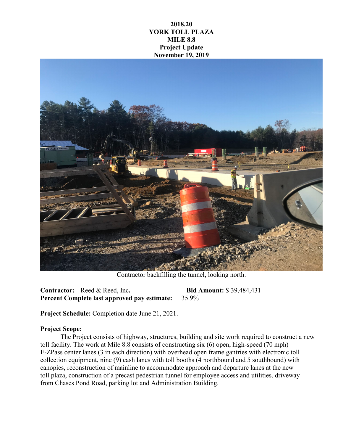## **2018.20 YORK TOLL PLAZA MILE 8.8 Project Update November 19, 2019**



Contractor backfilling the tunnel, looking north.

**Contractor:** Reed & Reed, Inc**. Bid Amount:** \$ 39,484,431 **Percent Complete last approved pay estimate:** 35.9%

**Project Schedule:** Completion date June 21, 2021.

## **Project Scope:**

The Project consists of highway, structures, building and site work required to construct a new toll facility. The work at Mile 8.8 consists of constructing six (6) open, high-speed (70 mph) E-ZPass center lanes (3 in each direction) with overhead open frame gantries with electronic toll collection equipment, nine (9) cash lanes with toll booths (4 northbound and 5 southbound) with canopies, reconstruction of mainline to accommodate approach and departure lanes at the new toll plaza, construction of a precast pedestrian tunnel for employee access and utilities, driveway from Chases Pond Road, parking lot and Administration Building.